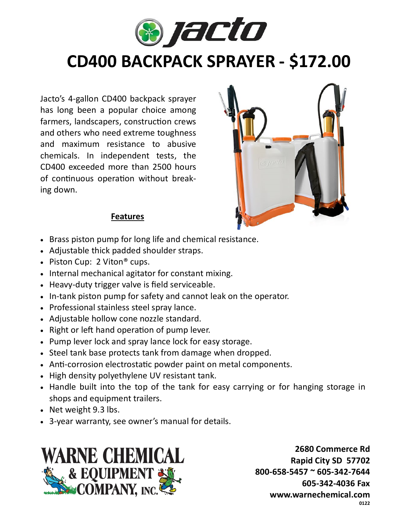

## **CD400 BACKPACK SPRAYER - \$172.00**

Jacto's 4-gallon CD400 backpack sprayer has long been a popular choice among farmers, landscapers, construction crews and others who need extreme toughness and maximum resistance to abusive chemicals. In independent tests, the CD400 exceeded more than 2500 hours of continuous operation without breaking down.



## **Features**

- Brass piston pump for long life and chemical resistance.
- Adjustable thick padded shoulder straps.
- Piston Cup: 2 Viton<sup>®</sup> cups.
- Internal mechanical agitator for constant mixing.
- Heavy-duty trigger valve is field serviceable.
- In-tank piston pump for safety and cannot leak on the operator.
- Professional stainless steel spray lance.
- Adjustable hollow cone nozzle standard.
- Right or left hand operation of pump lever.
- Pump lever lock and spray lance lock for easy storage.
- Steel tank base protects tank from damage when dropped.
- Anti-corrosion electrostatic powder paint on metal components.
- High density polyethylene UV resistant tank.
- Handle built into the top of the tank for easy carrying or for hanging storage in shops and equipment trailers.
- Net weight 9.3 lbs.
- 3-year warranty, see owner's manual for details.



**2680 Commerce Rd Rapid City SD 57702 800-658-5457 ~ 605-342-7644 605-342-4036 Fax www.warnechemical.com 0122**